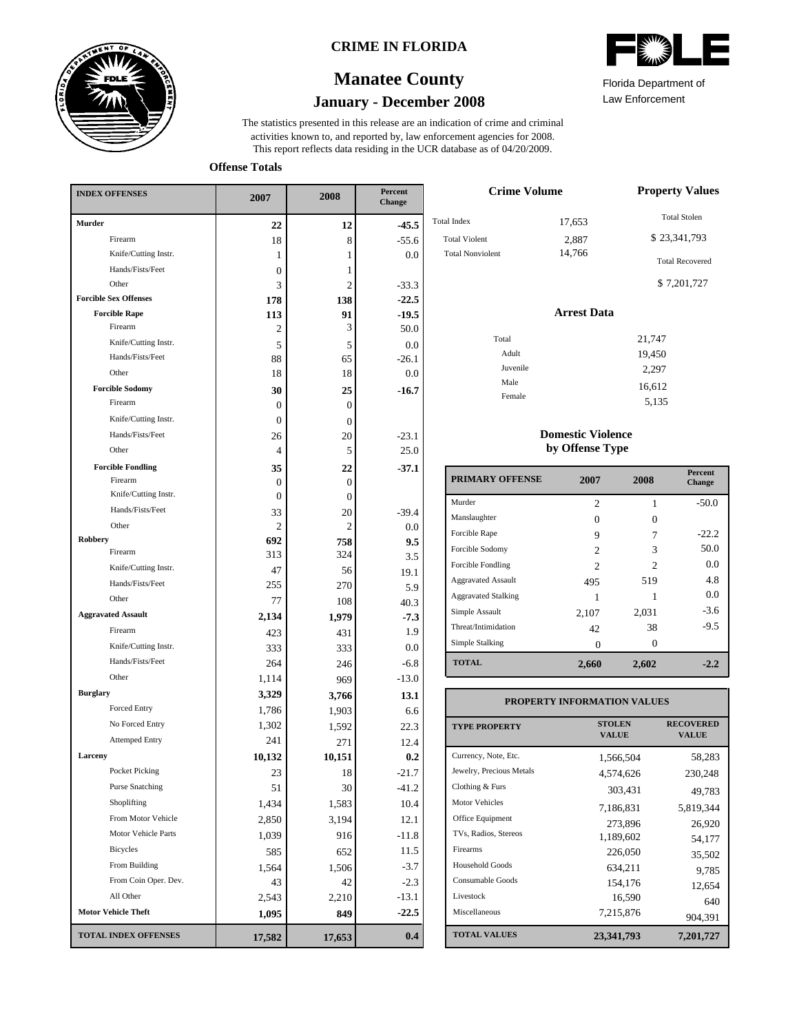

### **CRIME IN FLORIDA**

# **January - December 2008 Manatee County**

This report reflects data residing in the UCR database as of 04/20/2009. activities known to, and reported by, law enforcement agencies for 2008. The statistics presented in this release are an indication of crime and criminal



Law Enforcement Florida Department of

5,135

**Offense Totals**

| <b>INDEX OFFENSES</b>        | 2007             | 2008           | Percent<br>Change |  |
|------------------------------|------------------|----------------|-------------------|--|
| <b>Murder</b>                | 22               | 12             | $-45.5$           |  |
| Firearm                      | 18               | 8              | $-55.6$           |  |
| Knife/Cutting Instr.         | 1                | 1              | $0.0\,$           |  |
| Hands/Fists/Feet             | $\boldsymbol{0}$ | 1              |                   |  |
| Other                        | 3                | $\overline{c}$ | $-33.3$           |  |
| <b>Forcible Sex Offenses</b> | 178              | 138            | $-22.5$           |  |
| <b>Forcible Rape</b>         | 113              | 91             | $-19.5$           |  |
| Firearm                      | 2                | 3              | 50.0              |  |
| Knife/Cutting Instr.         | 5                | 5              | $0.0\,$           |  |
| Hands/Fists/Feet             | 88               | 65             | $-26.1$           |  |
| Other                        | 18               | 18             | $0.0\,$           |  |
| <b>Forcible Sodomy</b>       | 30               | 25             | $-16.7$           |  |
| Firearm                      | 0                | $\Omega$       |                   |  |
| Knife/Cutting Instr.         | 0                | $\overline{0}$ |                   |  |
| Hands/Fists/Feet             | 26               | 20             | $-23.1$           |  |
| Other                        | 4                | 5              | 25.0              |  |
| <b>Forcible Fondling</b>     | 35               | 22             | $-37.1$           |  |
| Firearm                      | 0                | 0              |                   |  |
| Knife/Cutting Instr.         | $\boldsymbol{0}$ | 0              |                   |  |
| Hands/Fists/Feet             | 33               | 20             | $-39.4$           |  |
| Other                        | 2                | 2              | $0.0\,$           |  |
| Robbery                      | 692              | 758            | 9.5               |  |
| Firearm                      | 313              | 324            | 3.5               |  |
| Knife/Cutting Instr.         | 47               | 56             | 19.1              |  |
| Hands/Fists/Feet             | 255              | 270            | 5.9               |  |
| Other                        | 77               | 108            | 40.3              |  |
| <b>Aggravated Assault</b>    | 2,134            | 1,979          | $-7.3$            |  |
| Firearm                      | 423              | 431            | 1.9               |  |
| Knife/Cutting Instr.         | 333              | 333            | 0.0               |  |
| Hands/Fists/Feet             | 264              | 246            | $-6.8$            |  |
| Other                        | 1,114            | 969            | $-13.0$           |  |
| <b>Burglary</b>              | 3,329            | 3,766          | 13.1              |  |
| Forced Entry                 | 1,786            | 1,903          | 6.6               |  |
| No Forced Entry              | 1,302            | 1,592          | 22.3              |  |
| <b>Attemped Entry</b>        | 241              | 271            | 12.4              |  |
| Larceny                      | 10,132           | 10,151         | 0.2               |  |
| Pocket Picking               | 23               | 18             | $-21.7$           |  |
| <b>Purse Snatching</b>       | 51               | 30             | $-41.2$           |  |
| Shoplifting                  | 1,434            | 1,583          | 10.4              |  |
| From Motor Vehicle           | 2,850            | 3,194          | 12.1              |  |
| Motor Vehicle Parts          | 1,039            | 916            | $-11.8$           |  |
| <b>Bicycles</b>              | 585              | 652            | 11.5              |  |
| From Building                | 1,564            | 1,506          | $-3.7$            |  |
| From Coin Oper. Dev.         | 43               | 42             | $-2.3$            |  |
| All Other                    | 2,543            | 2,210          | $-13.1$           |  |
| <b>Motor Vehicle Theft</b>   | 1,095            | 849            | $-22.5$           |  |
| <b>TOTAL INDEX OFFENSES</b>  | 17,582           | 17,653         | $0.4\,$           |  |

| <b>Crime Volume</b>                                                   | <b>Property Values</b>    |                                                                              |
|-----------------------------------------------------------------------|---------------------------|------------------------------------------------------------------------------|
| <b>Total Index</b><br><b>Total Violent</b><br><b>Total Nonviolent</b> | 17,653<br>2,887<br>14,766 | <b>Total Stolen</b><br>\$23,341,793<br><b>Total Recovered</b><br>\$7,201,727 |
|                                                                       | <b>Arrest Data</b>        |                                                                              |
| Total                                                                 |                           | 21,747                                                                       |
| Adult                                                                 |                           | 19,450                                                                       |
| Juvenile                                                              |                           | 2,297                                                                        |
| Male                                                                  |                           | 16,612                                                                       |
| Female                                                                |                           | $-12$                                                                        |

#### **Domestic Violence by Offense Type**

| <b>PRIMARY OFFENSE</b>     | 2007           | 2008                        | <b>Percent</b><br><b>Change</b> |
|----------------------------|----------------|-----------------------------|---------------------------------|
| Murder                     | $\overline{c}$ | 1                           | $-50.0$                         |
| Manslaughter               | 0              | 0                           |                                 |
| Forcible Rape              | 9              |                             | $-22.2$                         |
| Forcible Sodomy            | $\overline{c}$ | 3                           | 50.0                            |
| Forcible Fondling          | $\mathfrak{D}$ | $\mathcal{D}_{\mathcal{L}}$ | 0.0                             |
| <b>Aggravated Assault</b>  | 495            | 519                         | 4.8                             |
| <b>Aggravated Stalking</b> |                |                             | 0.0                             |
| Simple Assault             | 2,107          | 2,031                       | $-3.6$                          |
| Threat/Intimidation        | 42             | 38                          | $-9.5$                          |
| Simple Stalking            | 0              | 0                           |                                 |
| <b>TOTAL</b>               | 2,660          | 2,602                       | -22                             |

#### **TOTAL VALUES VALUE PROPERTY STOLEN RECOVERED PROPERTY INFORMATION VALUES** Currency, Note, Etc. Jewelry, Precious Metals Clothing & Furs Motor Vehicles Office Equipment TVs, Radios, Stereos Firearms Household Goods Consumable Goods Livestock Miscellaneous 1,566,504 58,283 4,574,626 230,248 303,431 49,783 7,186,831 5,819,344 273,896 26,920 1,189,602 54,177 226,050 35,502 634,211 9,785 154,176 12,654  $16,590$  640<br>7,215,876 004.301 904,391 **23,341,793 7,201,727**